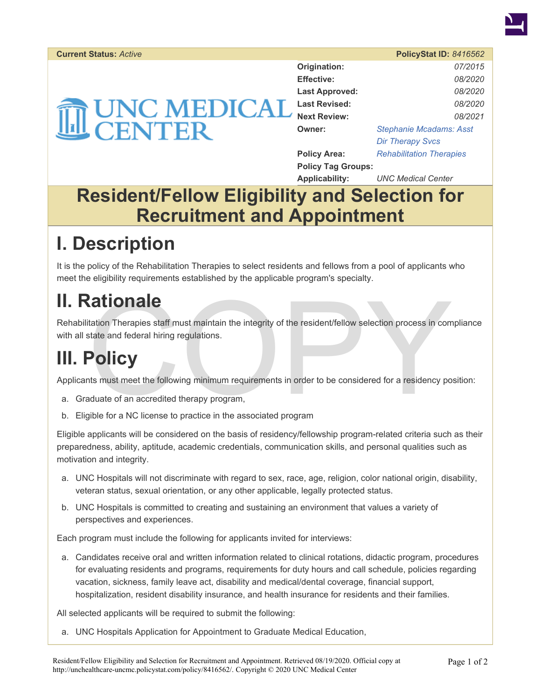

#### **Current Status:** *Active* **PolicyStat ID:** *8416562*

| <b>THE UNC MEDICAL</b> |
|------------------------|
|------------------------|

| Origination:              | 07/2015                         |
|---------------------------|---------------------------------|
| <b>Effective:</b>         | 08/2020                         |
| <b>Last Approved:</b>     | 08/2020                         |
| <b>Last Revised:</b>      | 08/2020                         |
| <b>Next Review:</b>       | 08/2021                         |
| Owner:                    | <b>Stephanie Mcadams: Asst</b>  |
|                           | <b>Dir Therapy Svcs</b>         |
| <b>Policy Area:</b>       | <b>Rehabilitation Therapies</b> |
| <b>Policy Tag Groups:</b> |                                 |
| <b>Applicability:</b>     | <b>UNC Medical Center</b>       |

### **Resident/Fellow Eligibility and Selection for Recruitment and Appointment**

## **I. Description**

It is the policy of the Rehabilitation Therapies to select residents and fellows from a pool of applicants who meet the eligibility requirements established by the applicable program's specialty.

### **II. Rationale**

Mation Therapies staff must maintain the integrity of the resident/fellow selection process in computation Therapies staff must maintain the integrity of the resident/fellow selection process in computations.<br>
COLICY<br>
This Rehabilitation Therapies staff must maintain the integrity of the resident/fellow selection process in compliance with all state and federal hiring regulations.

# **III. Policy**

Applicants must meet the following minimum requirements in order to be considered for a residency position:

- a. Graduate of an accredited therapy program,
- b. Eligible for a NC license to practice in the associated program

Eligible applicants will be considered on the basis of residency/fellowship program-related criteria such as their preparedness, ability, aptitude, academic credentials, communication skills, and personal qualities such as motivation and integrity.

- a. UNC Hospitals will not discriminate with regard to sex, race, age, religion, color national origin, disability, veteran status, sexual orientation, or any other applicable, legally protected status.
- b. UNC Hospitals is committed to creating and sustaining an environment that values a variety of perspectives and experiences.

Each program must include the following for applicants invited for interviews:

a. Candidates receive oral and written information related to clinical rotations, didactic program, procedures for evaluating residents and programs, requirements for duty hours and call schedule, policies regarding vacation, sickness, family leave act, disability and medical/dental coverage, financial support, hospitalization, resident disability insurance, and health insurance for residents and their families.

All selected applicants will be required to submit the following:

a. UNC Hospitals Application for Appointment to Graduate Medical Education,